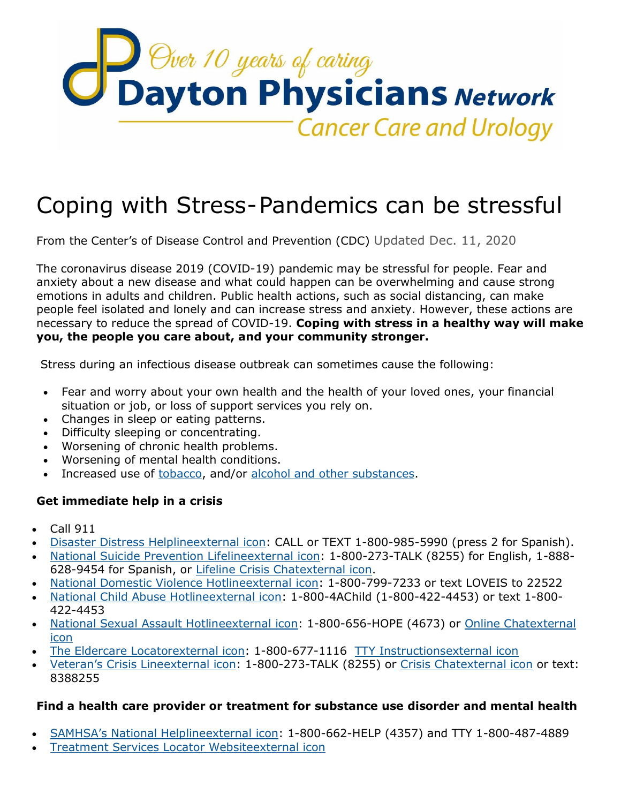

# Coping with Stress-Pandemics can be stressful

From the Center's of Disease Control and Prevention (CDC) Updated Dec. 11, 2020

The coronavirus disease 2019 (COVID-19) pandemic may be stressful for people. Fear and anxiety about a new disease and what could happen can be overwhelming and cause strong emotions in adults and children. Public health actions, such as social distancing, can make people feel isolated and lonely and can increase stress and anxiety. However, these actions are necessary to reduce the spread of COVID-19. **Coping with stress in a healthy way will make you, the people you care about, and your community stronger.**

Stress during an infectious disease outbreak can sometimes cause the following:

- Fear and worry about your own health and the health of your loved ones, your financial situation or job, or loss of support services you rely on.
- Changes in sleep or eating patterns.
- Difficulty sleeping or concentrating.
- Worsening of chronic health problems.
- Worsening of mental health conditions.
- Increased use of [tobacco,](https://www.cdc.gov/tobacco/quit_smoking/index.htm) and/or [alcohol and other substances.](https://www.cdc.gov/coronavirus/2019-ncov/daily-life-coping/stress-coping/alcohol-use.html)

#### **Get immediate help in a crisis**

- Call 911
- [Disaster Distress Helplineexternal](https://www.samhsa.gov/disaster-preparedness) icon: CALL or TEXT 1-800-985-5990 (press 2 for Spanish).
- [National Suicide Prevention Lifelineexternal](http://www.suicidepreventionlifeline.org/) icon: 1-800-273-TALK (8255) for English, 1-888- 628-9454 for Spanish, or [Lifeline Crisis Chatexternal](http://www.suicidepreventionlifeline.org/GetHelp/LifelineChat.aspx) icon.
- [National Domestic Violence Hotlineexternal](https://www.thehotline.org/) icon: 1-800-799-7233 or text LOVEIS to 22522
- [National Child Abuse Hotlineexternal](https://www.childhelp.org/hotline/) icon: 1-800-4AChild (1-800-422-4453) or text 1-800- 422-4453
- [National Sexual Assault Hotlineexternal](https://rainn.org/) icon: 1-800-656-HOPE (4673) or [Online Chatexternal](https://hotline.rainn.org/online) [icon](https://hotline.rainn.org/online)
- The Eldercare [Locatorexternal](https://eldercare.acl.gov/Public/Index.aspx) icon: 1-800-677-1116 [TTY Instructionsexternal](https://eldercare.acl.gov/Public/About/Contact_Info/Index.aspx) icon
- [Veteran's Crisis Line](https://www.veteranscrisisline.net/)external icon: 1-800-273-TALK (8255) or [Crisis Chatexternal](https://www.veteranscrisisline.net/get-help/chat) icon or text: 8388255

#### **Find a health care provider or treatment for substance use disorder and mental health**

- [SAMHSA's National Helpline](https://www.samhsa.gov/find-help/national-helpline)external icon: 1-800-662-HELP (4357) and TTY 1-800-487-4889
- [Treatment Services Locator Websiteexternal](https://findtreatment.samhsa.gov/) icon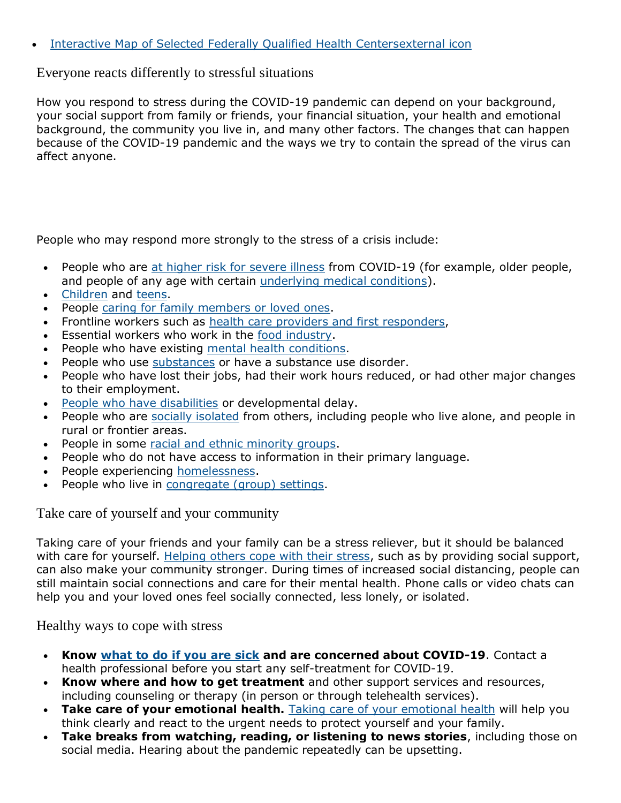• [Interactive Map of Selected Federally Qualified Health Centersexternal](https://data.cms.gov/Government/Map-Selected-Federally-Qualified-Health-Center-FQH/hqut-bhwm) icon

### Everyone reacts differently to stressful situations

How you respond to stress during the COVID-19 pandemic can depend on your background, your social support from family or friends, your financial situation, your health and emotional background, the community you live in, and many other factors. The changes that can happen because of the COVID-19 pandemic and the ways we try to contain the spread of the virus can affect anyone.

People who may respond more strongly to the stress of a crisis include:

- People who are [at higher risk for severe illness](https://www.cdc.gov/coronavirus/2019-ncov/need-extra-precautions/people-at-higher-risk.html) from COVID-19 (for example, older people, and people of any age with certain [underlying medical conditions\)](https://www.cdc.gov/coronavirus/2019-ncov/need-extra-precautions/people-with-medical-conditions.html).
- [Children](https://www.cdc.gov/coronavirus/2019-ncov/daily-life-coping/for-parents.html) and [teens.](https://www.cdc.gov/coronavirus/2019-ncov/daily-life-coping/stress-coping/young-adults.html)
- People [caring for family members or loved ones.](https://www.cdc.gov/coronavirus/2019-ncov/if-you-are-sick/care-for-someone.html)
- Frontline workers such as [health care providers and first responders,](https://www.cdc.gov/coronavirus/2019-ncov/hcp/mental-health-healthcare.html)
- Essential workers who work in the [food industry.](https://www.cdc.gov/coronavirus/2019-ncov/community/organizations/meat-poultry-processing-workers-employers.html)
- People who have existing [mental health conditions.](https://www.cdc.gov/mentalhealth/learn/index.htm)
- People who use [substances](https://www.cdc.gov/coronavirus/2019-ncov/daily-life-coping/stress-coping/alcohol-use.html) or have a substance use disorder.
- People who have lost their jobs, had their work hours reduced, or had other major changes to their employment.
- [People who have disabilities](https://www.cdc.gov/coronavirus/2019-ncov/need-extra-precautions/people-with-disabilities.html) or developmental delay.
- People who are [socially isolated](https://www.cdc.gov/aging/publications/features/lonely-older-adults.html) from others, including people who live alone, and people in rural or frontier areas.
- People in some [racial and ethnic minority groups.](https://www.cdc.gov/coronavirus/2019-ncov/need-extra-precautions/racial-ethnic-minorities.html)
- People who do not have access to information in their primary language.
- People experiencing [homelessness.](https://www.cdc.gov/coronavirus/2019-ncov/community/homeless-shelters/index.html)
- People who live in [congregate \(group\) settings.](https://www.cdc.gov/coronavirus/2019-ncov/community/shared-congregate-house/index.html)

Take care of yourself and your community

Taking care of your friends and your family can be a stress reliever, but it should be balanced with care for yourself. [Helping others cope with their stress,](https://www.cdc.gov/coronavirus/2019-ncov/need-extra-precautions/what-you-can-do.html) such as by providing social support, can also make your community stronger. During times of increased social distancing, people can still maintain social connections and care for their mental health. Phone calls or video chats can help you and your loved ones feel socially connected, less lonely, or isolated.

Healthy ways to cope with stress

- **Know [what to do if you are sick](https://www.cdc.gov/coronavirus/2019-ncov/if-you-are-sick/steps-when-sick.html) and are concerned about COVID-19**. Contact a health professional before you start any self-treatment for COVID-19.
- **Know where and how to get treatment** and other support services and resources, including counseling or therapy (in person or through telehealth services).
- **Take care of your emotional health.** [Taking care of your emotional health](https://emergency.cdc.gov/coping/selfcare.asp) will help you think clearly and react to the urgent needs to protect yourself and your family.
- **Take breaks from watching, reading, or listening to news stories**, including those on social media. Hearing about the pandemic repeatedly can be upsetting.